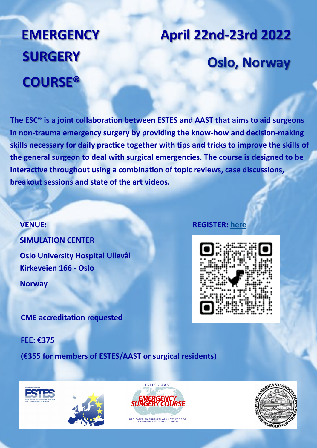### **EMERGENCY SURGERY COURSE®**

# **Oslo, Norway April 22nd-23rd 2022**

**The ESC® is a joint collaboration between ESTES and AAST that aims to aid surgeons in non-trauma emergency surgery by providing the know-how and decision-making skills necessary for daily practice together with tips and tricks to improve the skills of the general surgeon to deal with surgical emergencies. The course is designed to be interactive throughout using a combination of topic reviews, case discussions, breakout sessions and state of the art videos.**

**VENUE: SIMULATION CENTER Oslo University Hospital Ullevål Kirkeveien 166 - Oslo Norway** 

**CME accreditation requested**

**FEE: €375**

**(€355 for members of ESTES/AAST or surgical residents)** 

#### **REGISTER: [here](https://form.jotform.com/93202647735964)**









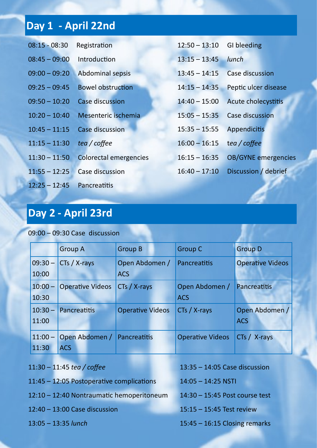### **Day 1 - April 22nd**

| $08:15 - 08:30$ | Registration                  | $12:50 - 13:10$ | <b>GI</b> bleeding         |
|-----------------|-------------------------------|-----------------|----------------------------|
| $08:45 - 09:00$ | Introduction                  | $13:15 - 13:45$ | <b>lunch</b>               |
| $09:00 - 09:20$ | <b>Abdominal sepsis</b>       | $13:45 - 14:15$ | <b>Case discussion</b>     |
| $09:25 - 09:45$ | <b>Bowel obstruction</b>      | $14:15 - 14:35$ | Peptic ulcer disease       |
| $09:50 - 10:20$ | <b>Case discussion</b>        | $14:40 - 15:00$ | Acute cholecystitis        |
| $10:20 - 10:40$ | Mesenteric ischemia           | $15:05 - 15:35$ | <b>Case discussion</b>     |
| $10:45 - 11:15$ | <b>Case discussion</b>        | $15:35 - 15:55$ | Appendicitis               |
| $11:15 - 11:30$ | tea / coffee                  | $16:00 - 16:15$ | tea / coffee               |
| $11:30 - 11:50$ | <b>Colorectal emergencies</b> | $16:15 - 16:35$ | <b>OB/GYNE</b> emergencies |
| $11:55 - 12:25$ | <b>Case discussion</b>        | $16:40 - 17:10$ | Discussion / debrief       |
| $12:25 - 12:45$ | Pancreatitis                  |                 |                            |

#### **Day 2 - April 23rd**

09:00 – 09:30 Case discussion

|           | <b>Group A</b>          | <b>Group B</b>          | <b>Group C</b>          | <b>Group D</b>          |
|-----------|-------------------------|-------------------------|-------------------------|-------------------------|
| $09:30 -$ | CTs / X-rays            | Open Abdomen /          | Pancreatitis            | <b>Operative Videos</b> |
| 10:00     |                         | <b>ACS</b>              |                         |                         |
| $10:00 -$ | <b>Operative Videos</b> | CTs / X-rays            | Open Abdomen /          | Pancreatitis            |
| 10:30     |                         |                         | <b>ACS</b>              |                         |
| $10:30 -$ | Pancreatitis            | <b>Operative Videos</b> | CTs / X-rays            | Open Abdomen /          |
| 11:00     |                         |                         |                         | <b>ACS</b>              |
| $11:00 -$ | Open Abdomen /          | Pancreatitis            | <b>Operative Videos</b> | $CTs / X-rays$          |
| 11:30     | <b>ACS</b>              |                         |                         |                         |

| 11:30 - 11:45 tea / coffee                | $13:35 - 14:05$ Case discussion  |  |  |
|-------------------------------------------|----------------------------------|--|--|
| 11:45 - 12:05 Postoperative complications | $14:05 - 14:25$ NSTI             |  |  |
| 12:10 - 12:40 Nontraumatic hemoperitoneum | $14:30 - 15:45$ Post course test |  |  |
| $12:40 - 13:00$ Case discussion           | $15:15 - 15:45$ Test review      |  |  |
| $13:05 - 13:35$ lunch                     | $15:45 - 16:15$ Closing remarks  |  |  |